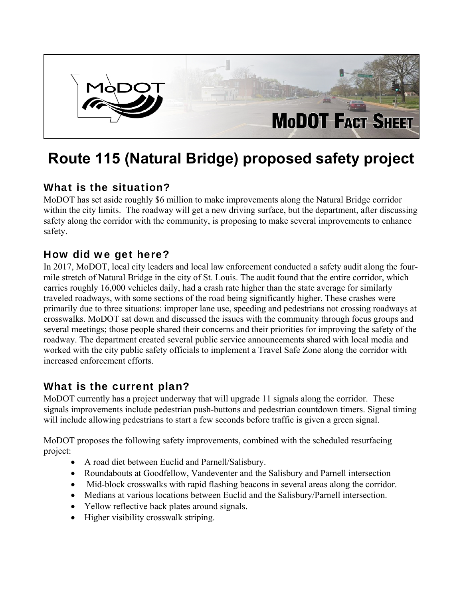

# **Route 115 (Natural Bridge) proposed safety project**

#### What is the situation?

MoDOT has set aside roughly \$6 million to make improvements along the Natural Bridge corridor within the city limits. The roadway will get a new driving surface, but the department, after discussing safety along the corridor with the community, is proposing to make several improvements to enhance safety.

#### How did we get here?

In 2017, MoDOT, local city leaders and local law enforcement conducted a safety audit along the fourmile stretch of Natural Bridge in the city of St. Louis. The audit found that the entire corridor, which carries roughly 16,000 vehicles daily, had a crash rate higher than the state average for similarly traveled roadways, with some sections of the road being significantly higher. These crashes were primarily due to three situations: improper lane use, speeding and pedestrians not crossing roadways at crosswalks. MoDOT sat down and discussed the issues with the community through focus groups and several meetings; those people shared their concerns and their priorities for improving the safety of the roadway. The department created several public service announcements shared with local media and worked with the city public safety officials to implement a Travel Safe Zone along the corridor with increased enforcement efforts.

#### What is the current plan?

MoDOT currently has a project underway that will upgrade 11 signals along the corridor. These signals improvements include pedestrian push-buttons and pedestrian countdown timers. Signal timing will include allowing pedestrians to start a few seconds before traffic is given a green signal.

MoDOT proposes the following safety improvements, combined with the scheduled resurfacing project:

- A road diet between Euclid and Parnell/Salisbury.
- Roundabouts at Goodfellow, Vandeventer and the Salisbury and Parnell intersection
- Mid-block crosswalks with rapid flashing beacons in several areas along the corridor.
- Medians at various locations between Euclid and the Salisbury/Parnell intersection.
- Yellow reflective back plates around signals.
- Higher visibility crosswalk striping.